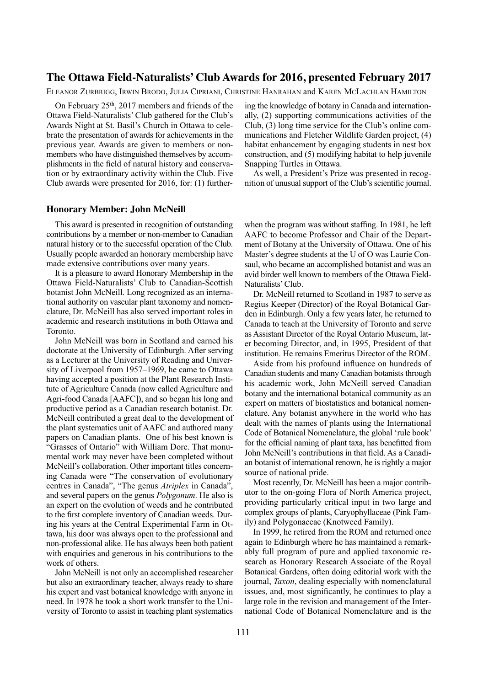# **The Ottawa Field-Naturalists' Club Awards for 2016, presented February 2017**

ELEANOR ZURBRIGG, IRWIN BRODO, JULIA CIPRIANI, CHRISTINE HANRAHAN and KAREN MCLACHLAN HAMILTON

On February  $25<sup>th</sup>$ , 2017 members and friends of the Ottawa Field-Naturalists' Club gathered for the Club's Awards Night at St. Basil's Church in Ottawa to celebrate the presentation of awards for achievements in the previous year. Awards are given to members or nonmembers who have distinguished themselves by accomplishments in the field of natural history and conservation or by extraordinary activity within the Club. Five Club awards were presented for 2016, for: (1) further-

#### **Honorary Member: John McNeill**

This award is presented in recognition of outstanding contributions by a member or non-member to Canadian natural history or to the successful operation of the Club. Usually people awarded an honorary membership have made extensive contributions over many years.

It is a pleasure to award Honorary Membership in the Ottawa Field-Naturalists' Club to Canadian-Scottish botanist John McNeill. long recognized as an international authority on vascular plant taxonomy and nomenclature, Dr. McNeill has also served important roles in academic and research institutions in both Ottawa and Toronto.

John McNeill was born in Scotland and earned his doctorate at the University of Edinburgh. After serving as a Lecturer at the University of Reading and University of Liverpool from 1957–1969, he came to Ottawa having accepted a position at the Plant Research Institute of Agriculture Canada (now called Agriculture and Agri-food Canada [AAFC]), and so began his long and productive period as a Canadian research botanist. Dr. McNeill contributed a great deal to the development of the plant systematics unit of AAFC and authored many papers on Canadian plants. One of his best known is "Grasses of Ontario" with William Dore. That monumental work may never have been completed without McNeill's collaboration. Other important titles concerning Canada were "The conservation of evolutionary centres in Canada", "The genus *Atriplex* in Canada", and several papers on the genus *Polygonum*. he also is an expert on the evolution of weeds and he contributed to the first complete inventory of Canadian weeds. During his years at the Central Experimental Farm in Ottawa, his door was always open to the professional and non-professional alike. he has always been both patient with enquiries and generous in his contributions to the work of others.

John McNeill is not only an accomplished researcher but also an extraordinary teacher, always ready to share his expert and vast botanical knowledge with anyone in need. In 1978 he took a short work transfer to the University of Toronto to assist in teaching plant systematics

ing the knowledge of botany in Canada and internationally, (2) supporting communications activities of the Club, (3) long time service for the Club's online communications and Fletcher Wildlife Garden project, (4) habitat enhancement by engaging students in nest box construction, and (5) modifying habitat to help juvenile Snapping Turtles in Ottawa.

As well, a President's Prize was presented in recognition of unusual support of the Club's scientific journal.

when the program was without staffing. In 1981, he left AAFC to become Professor and Chair of the Department of Botany at the University of Ottawa. One of his Master's degree students at the U of O was Laurie Consaul, who became an accomplished botanist and was an avid birder well known to members of the Ottawa Field-Naturalists'Club.

Dr. McNeill returned to Scotland in 1987 to serve as Regius Keeper (Director) of the Royal Botanical Garden in Edinburgh. Only a few years later, he returned to Canada to teach at the University of Toronto and serve as Assistant Director of the Royal Ontario Museum, later becoming Director, and, in 1995, President of that institution. He remains Emeritus Director of the ROM.

Aside from his profound influence on hundreds of Canadian students and many Canadian botanists through his academic work, John McNeill served Canadian botany and the international botanical community as an expert on matters of biostatistics and botanical nomenclature. Any botanist anywhere in the world who has dealt with the names of plants using the International Code of Botanical Nomenclature, the global 'rule book' for the official naming of plant taxa, has benefitted from John McNeill's contributions in that field. As a Canadian botanist of international renown, he is rightly a major source of national pride.

Most recently, Dr. McNeill has been a major contributor to the on-going Flora of North America project, providing particularly critical input in two large and complex groups of plants, Caryophyllaceae (Pink Family) and Polygonaceae (Knotweed Family).

In 1999, he retired from the ROM and returned once again to Edinburgh where he has maintained a remarkably full program of pure and applied taxonomic research as Honorary Research Associate of the Royal Botanical Gardens, often doing editorial work with the journal, *Taxon*, dealing especially with nomenclatural issues, and, most significantly, he continues to play a large role in the revision and management of the International Code of Botanical Nomenclature and is the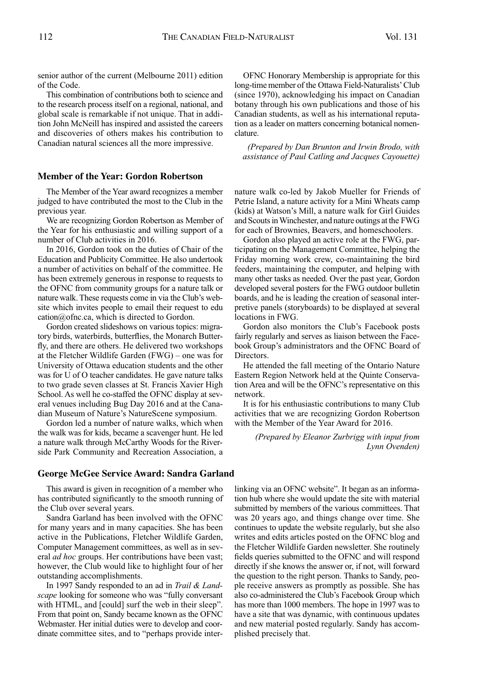senior author of the current (Melbourne 2011) edition of the Code.

This combination of contributions both to science and to the research process itself on a regional, national, and global scale is remarkable if not unique. That in addition John McNeill has inspired and assisted the careers and discoveries of others makes his contribution to Canadian natural sciences all the more impressive.

# **Member of the Year: Gordon Robertson**

The Member of the Year award recognizes a member judged to have contributed the most to the Club in the previous year.

We are recognizing Gordon Robertson as Member of the Year for his enthusiastic and willing support of a number of Club activities in 2016.

In 2016, Gordon took on the duties of Chair of the Education and Publicity Committee. he also undertook a number of activities on behalf of the committee. he has been extremely generous in response to requests to the OFNC from community groups for a nature talk or nature walk.These requests come in via the Club's website which invites people to email their request to edu cation@ofnc.ca, which is directed to Gordon.

Gordon created slideshows on various topics: migratory birds, waterbirds, butterflies, the Monarch Butterfly, and there are others. He delivered two workshops at the Fletcher Wildlife Garden (FWG) – one was for University of Ottawa education students and the other was for U of O teacher candidates. He gave nature talks to two grade seven classes at St. Francis Xavier high School. As well he co-staffed the OFNC display at several venues including Bug Day 2016 and at the Canadian Museum of Nature's NatureScene symposium.

Gordon led a number of nature walks, which when the walk was for kids, became a scavenger hunt. he led a nature walk through McCarthy Woods for the Riverside Park Community and Recreation Association, a

## **George McGee Service Award: Sandra Garland**

This award is given in recognition of a member who has contributed significantly to the smooth running of the Club over several years.

Sandra Garland has been involved with the OFNC for many years and in many capacities. She has been active in the Publications, Fletcher Wildlife Garden, Computer Management committees, as well as in several *ad hoc* groups. Her contributions have been vast; however, the Club would like to highlight four of her outstanding accomplishments.

in 1997 Sandy responded to an ad in *Trail & Landscape* looking for someone who was "fully conversant with HTML, and [could] surf the web in their sleep". From that point on, Sandy became known as the OFNC Webmaster. her initial duties were to develop and coordinate committee sites, and to "perhaps provide inter-

OFNC honorary Membership is appropriate for this long-time member of the Ottawa Field-Naturalists' Club (since 1970), acknowledging his impact on Canadian botany through his own publications and those of his Canadian students, as well as his international reputation as a leader on matters concerning botanical nomenclature.

*(Prepared by Dan Brunton and Irwin Brodo, with assistance of Paul Catling and Jacques Cayouette)*

nature walk co-led by Jakob Mueller for Friends of Petrie Island, a nature activity for a Mini Wheats camp (kids) at Watson's Mill, a nature walk for Girl Guides and Scouts in Winchester, and nature outings at the FWG for each of Brownies, Beavers, and homeschoolers.

Gordon also played an active role at the FWG, participating on the Management Committee, helping the Friday morning work crew, co-maintaining the bird feeders, maintaining the computer, and helping with many other tasks as needed. Over the past year, Gordon developed several posters for the FWG outdoor bulletin boards, and he is leading the creation of seasonal interpretive panels (storyboards) to be displayed at several locations in FWG.

Gordon also monitors the Club's Facebook posts fairly regularly and serves as liaison between the Facebook Group's administrators and the OFNC Board of Directors.

he attended the fall meeting of the Ontario Nature Eastern Region Network held at the Quinte Conservation Area and will be the OFNC's representative on this network.

It is for his enthusiastic contributions to many Club activities that we are recognizing Gordon Robertson with the Member of the Year Award for 2016.

> *(Prepared by Eleanor Zurbrigg with input from Lynn Ovenden)*

linking via an OFNC website". It began as an information hub where she would update the site with material submitted by members of the various committees. That was 20 years ago, and things change over time. She continues to update the website regularly, but she also writes and edits articles posted on the OFNC blog and the Fletcher Wildlife Garden newsletter. She routinely fields queries submitted to the OFNC and will respond directly if she knows the answer or, if not, will forward the question to the right person. Thanks to Sandy, people receive answers as promptly as possible. She has also co-administered the Club's Facebook Group which has more than 1000 members. The hope in 1997 was to have a site that was dynamic, with continuous updates and new material posted regularly. Sandy has accomplished precisely that.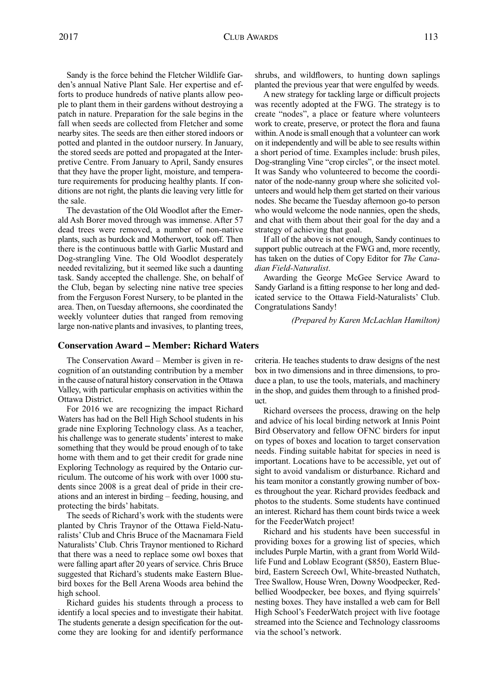Sandy is the force behind the Fletcher Wildlife Garden's annual Native Plant Sale. her expertise and efforts to produce hundreds of native plants allow people to plant them in their gardens without destroying a patch in nature. Preparation for the sale begins in the fall when seeds are collected from Fletcher and some nearby sites. The seeds are then either stored indoors or potted and planted in the outdoor nursery. in January, the stored seeds are potted and propagated at the Interpretive Centre. From January to April, Sandy ensures that they have the proper light, moisture, and temperature requirements for producing healthy plants. if conditions are not right, the plants die leaving very little for the sale.

The devastation of the Old Woodlot after the Emerald Ash Borer moved through was immense. After 57 dead trees were removed, a number of non-native plants, such as burdock and Motherwort, took off. Then there is the continuous battle with Garlic Mustard and Dog-strangling Vine. The Old Woodlot desperately needed revitalizing, but it seemed like such a daunting task. Sandy accepted the challenge. She, on behalf of the Club, began by selecting nine native tree species from the Ferguson Forest Nursery, to be planted in the area. Then, onTuesday afternoons, she coordinated the weekly volunteer duties that ranged from removing large non-native plants and invasives, to planting trees,

shrubs, and wildflowers, to hunting down saplings planted the previous year that were engulfed by weeds.

A new strategy for tackling large or difficult projects was recently adopted at the FWG. The strategy is to create "nodes", a place or feature where volunteers work to create, preserve, or protect the flora and fauna within. A node is small enough that a volunteer can work on it independently and will be able to see results within a short period of time. Examples include: brush piles, Dog-strangling Vine "crop circles", or the insect motel. It was Sandy who volunteered to become the coordinator of the node-nanny group where she solicited volunteers and would help them get started on their various nodes. She became the Tuesday afternoon go-to person who would welcome the node nannies, open the sheds, and chat with them about their goal for the day and a strategy of achieving that goal.

If all of the above is not enough, Sandy continues to support public outreach at the FWG and, more recently, has taken on the duties of Copy Editor for *The Canadian Field-Naturalist*.

Awarding the George McGee Service Award to Sandy Garland is a fitting response to her long and dedicated service to the Ottawa Field-Naturalists' Club. Congratulations Sandy!

*(Prepared by Karen McLachlan Hamilton)*

### **Conservation Award – Member: Richard Waters**

The Conservation Award – Member is given in recognition of an outstanding contribution by a member in the cause of natural history conservation in the Ottawa Valley, with particular emphasis on activities within the Ottawa District.

For 2016 we are recognizing the impact Richard Waters has had on the Bell high School students in his grade nine Exploring Technology class. As a teacher, his challenge was to generate students' interest to make something that they would be proud enough of to take home with them and to get their credit for grade nine Exploring Technology as required by the Ontario curriculum. The outcome of his work with over 1000 students since 2008 is a great deal of pride in their creations and an interest in birding – feeding, housing, and protecting the birds' habitats.

The seeds of Richard's work with the students were planted by Chris Traynor of the Ottawa Field-Naturalists'Club and Chris Bruce of the Macnamara Field Naturalists' Club. Chris Traynor mentioned to Richard that there was a need to replace some owl boxes that were falling apart after 20 years of service. Chris Bruce suggested that Richard's students make Eastern Bluebird boxes for the Bell Arena Woods area behind the high school.

Richard guides his students through a process to identify a local species and to investigate their habitat. The students generate a design specification for the outcome they are looking for and identify performance criteria. he teaches students to draw designs of the nest box in two dimensions and in three dimensions, to produce a plan, to use the tools, materials, and machinery in the shop, and guides them through to a finished product.

Richard oversees the process, drawing on the help and advice of his local birding network at Innis Point Bird Observatory and fellow OFNC birders for input on types of boxes and location to target conservation needs. Finding suitable habitat for species in need is important. locations have to be accessible, yet out of sight to avoid vandalism or disturbance. Richard and his team monitor a constantly growing number of boxes throughout the year. Richard provides feedback and photos to the students. Some students have continued an interest. Richard has them count birds twice a week for the FeederWatch project!

Richard and his students have been successful in providing boxes for a growing list of species, which includes Purple Martin, with a grant from World Wildlife Fund and loblaw Ecogrant (\$850), Eastern Bluebird, Eastern Screech Owl, White-breasted Nuthatch, Tree Swallow, House Wren, Downy Woodpecker, Redbellied Woodpecker, bee boxes, and flying squirrels' nesting boxes. They have installed a web cam for Bell High School's FeederWatch project with live footage streamed into the Science and Technology classrooms via the school's network.